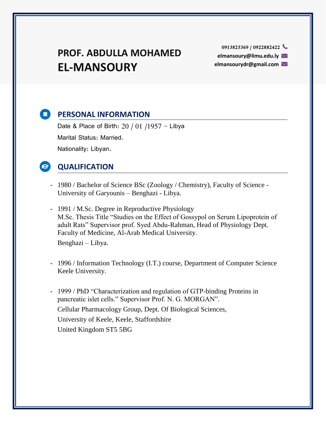## **PROF. ABDULLA MOHAMED EL-MANSOURY**

**elmansoury@limu.edu.ly elmansourydr@gmail.com** 

### **E** PERSONAL INFORMATION

Date & Place of Birth:  $20/01/1957$  - Libya Marital Status: Married. Nationality: Libyan.

## **QUALIFICATION**

- 1980 / Bachelor of Science BSc (Zoology / Chemistry), Faculty of Science University of Garyounis – Benghazi - Libya.
- 1991 / M.Sc. Degree in Reproductive Physiology M.Sc. Thesis Title "Studies on the Effect of Gossypol on Serum Lipoprotein of adult Rats" Supervisor prof. Syed Abdu-Rahman, Head of Physiology Dept. Faculty of Medicine, Al-Arab Medical University.

Benghazi – Libya.

- 1996 / Information Technology (I.T.) course, Department of Computer Science Keele University.
- 1999 / PhD "Characterization and regulation of GTP-binding Proteins in pancreatic islet cells." Supervisor Prof. N. G. MORGAN". Cellular Pharmacology Group, Dept. Of Biological Sciences, University of Keele, Keele, Staffordshire United Kingdom ST5 5BG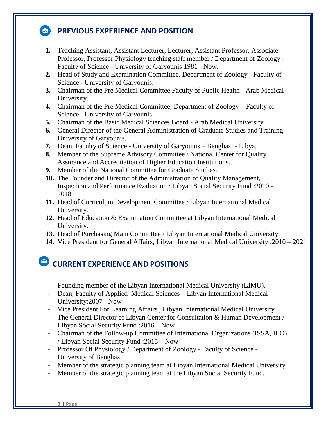## **<b>PREVIOUS EXPERIENCE AND POSITION**

- **1.** Teaching Assistant, Assistant Lecturer, Lecturer, Assistant Professor, Associate Professor, Professor Physiology teaching staff member / Department of Zoology - Faculty of Science - University of Garyounis 1981 - Now.
- **2.** Head of Study and Examination Committee, Department of Zoology Faculty of Science - University of Garyounis.
- **3.** Chairman of the Pre Medical Committee Faculty of Public Health Arab Medical University.
- **4.** Chairman of the Pre Medical Committee, Department of Zoology Faculty of Science - University of Garyounis.
- **5.** Chairman of the Basic Medical Sciences Board Arab Medical University.
- **6.** General Director of the General Administration of Graduate Studies and Training University of Garyounis.
- **7.** Dean, Faculty of Science University of Garyounis Benghazi Libya.
- **8.** Member of the Supreme Advisory Committee / National Center for Quality Assurance and Accreditation of Higher Education Institutions.
- **9.** Member of the National Committee for Graduate Studies.
- **10.** The Founder and Director of the Administration of Quality Management, Inspection and Performance Evaluation / Libyan Social Security Fund :2010 - 2018
- **11.** Head of Curriculum Development Committee / Libyan International Medical University.
- **12.** Head of Education & Examination Committee at Libyan International Medical University.
- **13.** Head of Purchasing Main Committee / Libyan International Medical University.
- **14.** Vice President for General Affairs, Libyan International Medical University :2010 2021

## **CURRENT EXPERIENCE AND POSITIONS**

- Founding member of the Libyan International Medical University (LIMU).
- Dean, Faculty of Applied Medical Sciences Libyan International Medical University:2007 - Now
- Vice President For Learning Affairs , Libyan International Medical University
- The General Director of Libyan Center for Consultation & Human Development / Libyan Social Security Fund :2016 – Now
- Chairman of the Follow-up Committee of International Organizations (ISSA, ILO) / Libyan Social Security Fund :2015 – Now
- Professor Of Physiology / Department of Zoology Faculty of Science University of Benghazi
- Member of the strategic planning team at Libyan International Medical University
- Member of the strategic planning team at the Libyan Social Security Fund.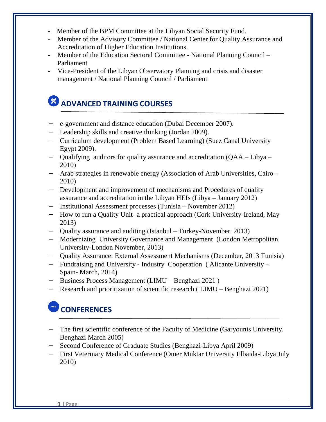- Member of the BPM Committee at the Libyan Social Security Fund.
- Member of the Advisory Committee / National Center for Quality Assurance and Accreditation of Higher Education Institutions.
- Member of the Education Sectoral Committee National Planning Council Parliament
- Vice-President of the Libyan Observatory Planning and crisis and disaster management / National Planning Council / Parliament

# **ADVANCED TRAINING COURSES**

- − e-government and distance education (Dubai December 2007).
- − Leadership skills and creative thinking (Jordan 2009).
- − Curriculum development (Problem Based Learning) (Suez Canal University Egypt 2009).
- − Qualifying auditors for quality assurance and accreditation (QAA Libya 2010)
- − Arab strategies in renewable energy (Association of Arab Universities, Cairo 2010)
- − Development and improvement of mechanisms and Procedures of quality assurance and accreditation in the Libyan HEIs (Libya – January 2012)
- − Institutional Assessment processes (Tunisia November 2012)
- − How to run a Quality Unit- a practical approach (Cork University-Ireland, May 2013)
- − Quality assurance and auditing (Istanbul Turkey-November 2013)
- − Modernizing University Governance and Management (London Metropolitan University-London November, 2013)
- − Quality Assurance: External Assessment Mechanisms (December, 2013 Tunisia)
- − Fundraising and University Industry Cooperation ( Alicante University Spain- March, 2014)
- − Business Process Management (LIMU Benghazi 2021 )
- − Research and prioritization of scientific research ( LIMU Benghazi 2021)

## **CONFERENCES**

- − The first scientific conference of the Faculty of Medicine (Garyounis University. Benghazi March 2005)
- − Second Conference of Graduate Studies (Benghazi-Libya April 2009)
- − First Veterinary Medical Conference (Omer Muktar University Elbaida-Libya July 2010)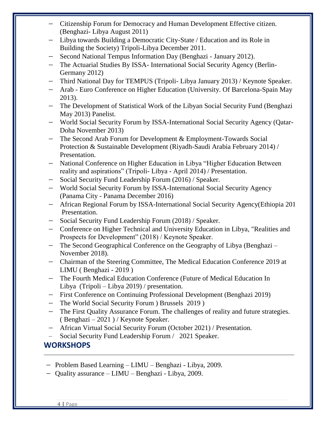- − Citizenship Forum for Democracy and Human Development Effective citizen. (Benghazi- Libya August 2011)
- − Libya towards Building a Democratic City-State / Education and its Role in Building the Society) Tripoli-Libya December 2011.
- − Second National Tempus Information Day (Benghazi January 2012).
- − The Actuarial Studies By ISSA- International Social Security Agency (Berlin-Germany 2012)
- − Third National Day for TEMPUS (Tripoli- Libya January 2013) / Keynote Speaker.
- − Arab Euro Conference on Higher Education (University. Of Barcelona-Spain May 2013).
- − The Development of Statistical Work of the Libyan Social Security Fund (Benghazi May 2013) Panelist.
- − World Social Security Forum by ISSA-International Social Security Agency (Qatar-Doha November 2013)
- − The Second Arab Forum for Development & Employment-Towards Social Protection & Sustainable Development (Riyadh-Saudi Arabia February 2014) / Presentation.
- − National Conference on Higher Education in Libya "Higher Education Between reality and aspirations" (Tripoli- Libya - April 2014) / Presentation.
- Social Security Fund Leadership Forum (2016) / Speaker.
- − World Social Security Forum by ISSA-International Social Security Agency (Panama City - Panama December 2016)
- − [African Regional Forum](https://context.reverso.net/translation/english-arabic/African+Regional+Forum) by ISSA-International Social Security Agency(Ethiopia 2017) Presentation.
- − Social Security Fund Leadership Forum (2018) / Speaker.
- − Conference on Higher Technical and University Education in Libya, "Realities and Prospects for Development" (2018) / Keynote Speaker.
- − The Second Geographical Conference on the Geography of Libya (Benghazi November 2018).
- − Chairman of the Steering Committee, The Medical Education Conference 2019 at LIMU ( Benghazi - 2019 )
- − The Fourth Medical Education Conference (Future of Medical Education In Libya (Tripoli – Libya 2019) / presentation.
- − First Conference on Continuing Professional Development (Benghazi 2019)
- − The World Social Security Forum ) Brussels 2019 )
- − The First Quality Assurance Forum. The challenges of reality and future strategies. ( Benghazi – 2021 ) / Keynote Speaker.
- − African Virtual Social Security Forum (October 2021) / Presentation.
- − Social Security Fund Leadership Forum / 2021 Speaker.

### **WORKSHOPS**

- − Problem Based Learning LIMU Benghazi Libya, 2009.
- − Quality assurance LIMU Benghazi Libya, 2009.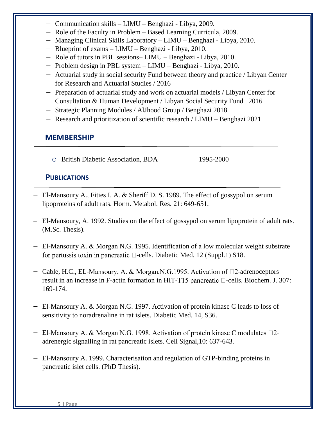- − Communication skills LIMU Benghazi Libya, 2009.
- − Role of the Faculty in Problem Based Learning Curricula, 2009.
- − Managing Clinical Skills Laboratory LIMU Benghazi Libya, 2010.
- − Blueprint of exams LIMU Benghazi Libya, 2010.
- − Role of tutors in PBL sessions– LIMU Benghazi Libya, 2010.
- − Problem design in PBL system LIMU Benghazi Libya, 2010.
- − Actuarial study in social security Fund between theory and practice / Libyan Center for Research and Actuarial Studies / 2016
- − Preparation of actuarial study and work on actuarial models / Libyan Center for Consultation & Human Development / Libyan Social Security Fund 2016
- − Strategic Planning Modules / AlJhood Group / Benghazi 2018
- − Research and prioritization of scientific research / LIMU Benghazi 2021

#### **MEMBERSHIP**

o British Diabetic Association, BDA 1995-2000

#### **PUBLICATIONS**

- − El-Mansoury A., Fities I. A. & Sheriff D. S. 1989. The effect of gossypol on serum lipoproteins of adult rats. Horm. Metabol. Res. 21: 649-651.
- − El-Mansoury, A. 1992. Studies on the effect of gossypol on serum lipoprotein of adult rats. (M.Sc. Thesis).
- − El-Mansoury A. & Morgan N.G. 1995. Identification of a low molecular weight substrate for pertussis toxin in pancreatic  $\Box$ -cells. Diabetic Med. 12 (Suppl.1) S18.
- − Cable, H.C., EL-Mansoury, A. & Morgan, N.G. 1995. Activation of □2-adrenoceptors result in an increase in F-actin formation in HIT-T15 pancreatic  $\Box$ -cells. Biochem. J. 307: 169-174.
- − El-Mansoury A. & Morgan N.G. 1997. Activation of protein kinase C leads to loss of sensitivity to noradrenaline in rat islets. Diabetic Med. 14, S36.
- − El-Mansoury A. & Morgan N.G. 1998. Activation of protein kinase C modulates □2adrenergic signalling in rat pancreatic islets. Cell Signal,10: 637-643.
- − El-Mansoury A. 1999. Characterisation and regulation of GTP-binding proteins in pancreatic islet cells. (PhD Thesis).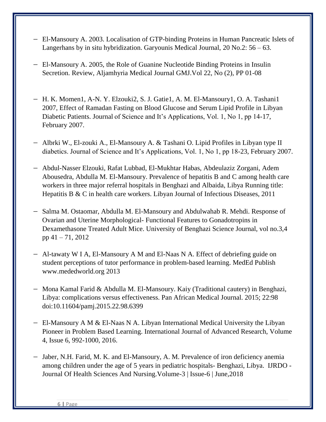- − El-Mansoury A. 2003. Localisation of GTP-binding Proteins in Human Pancreatic Islets of Langerhans by in situ hybridization. Garyounis Medical Journal, 20 No.2: 56 – 63.
- − El-Mansoury A. 2005, the Role of Guanine Nucleotide Binding Proteins in Insulin Secretion. Review, Aljamhyria Medical Journal GMJ.Vol 22, No (2), PP 01-08
- − H. K. Momen1, A-N. Y. Elzouki2, S. J. Gatie1, A. M. El-Mansoury1, O. A. Tashani1 2007, Effect of Ramadan Fasting on Blood Glucose and Serum Lipid Profile in Libyan Diabetic Patients. Journal of Science and It's Applications, Vol. 1, No 1, pp 14-17, February 2007.
- − Albrki W., El-zouki A., El-Mansoury A. & Tashani O. Lipid Profiles in Libyan type II diabetics. Journal of Science and It's Applications, Vol. 1, No 1, pp 18-23, February 2007.
- − Abdul-Nasser Elzouki, Rafat Lubbad, El-Mukhtar Habas, Abdeulaziz Zorgani, Adem Abousedra, Abdulla M. El-Mansoury. Prevalence of hepatitis B and C among health care workers in three major referral hospitals in Benghazi and Albaida, Libya Running title: Hepatitis B & C in health care workers. Libyan Journal of Infectious Diseases, 2011
- − Salma M. Ostaomar, Abdulla M. El-Mansoury and Abdulwahab R. Mehdi. Response of Ovarian and Uterine Morphological- Functional Features to Gonadotropins in Dexamethasone Treated Adult Mice. University of Benghazi Science Journal, vol no.3,4 pp 41 – 71, 2012
- − Al-tawaty W I A, El-Mansoury A M and El-Naas N A. Effect of debriefing guide on student perceptions of tutor performance in problem-based learning. MedEd Publish www.mededworld.org 2013
- − Mona Kamal Farid & Abdulla M. El-Mansoury. Kaiy (Traditional cautery) in Benghazi, Libya: complications versus effectiveness. Pan African Medical Journal. 2015; 22:98 doi:10.11604/pamj.2015.22.98.6399
- − El-Mansoury A M & El-Naas N A. Libyan International Medical University the Libyan Pioneer in Problem Based Learning. International Journal of Advanced Research, Volume 4, Issue 6, 992-1000, 2016.
- − Jaber, N.H. Farid, M. K. and El-Mansoury, A. M. Prevalence of iron deficiency anemia among children under the age of 5 years in pediatric hospitals- Benghazi, Libya. IJRDO - Journal Of Health Sciences And Nursing.Volume-3 | Issue-6 | June,2018